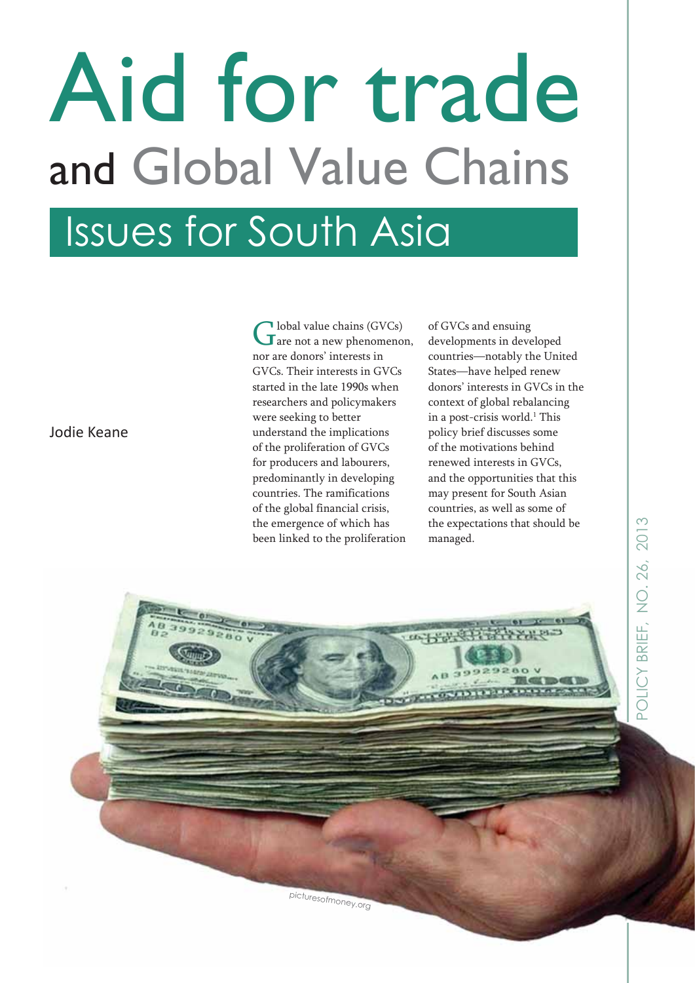# Aid for trade and Global Value Chains

## Issues for South Asia

Global value chains (GVCs)<br> **G** are not a new phenomenon, nor are donors' interests in GVCs. Their interests in GVCs started in the late 1990s when researchers and policymakers were seeking to better understand the implications of the proliferation of GVCs for producers and labourers, predominantly in developing countries. The ramifications of the global financial crisis, the emergence of which has been linked to the proliferation

of GVCs and ensuing developments in developed countries—notably the United States—have helped renew donors' interests in GVCs in the context of global rebalancing in a post-crisis world.<sup>1</sup> This policy brief discusses some of the motivations behind renewed interests in GVCs, and the opportunities that this may present for South Asian countries, as well as some of the expectations that should be managed.

Jodie Keane

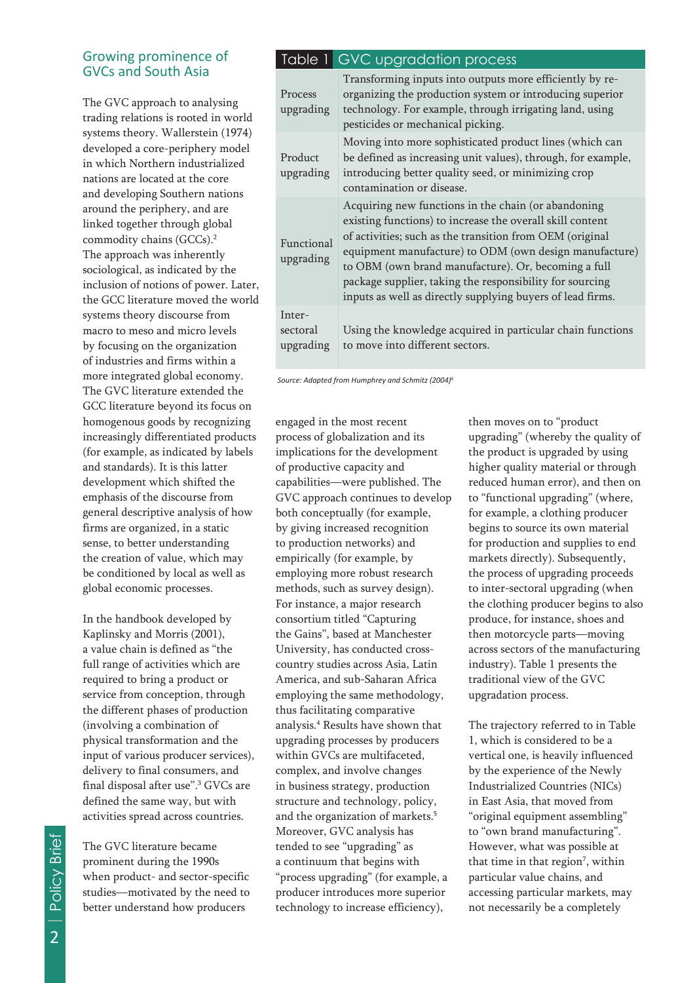#### Growing prominence of GVCs and South Asia

The GVC approach to analysing trading relations is rooted in world systems theory. Wallerstein (1974) developed a core-periphery model in which Northern industrialized nations are located at the core and developing Southern nations around the periphery, and are linked together through global commodity chains (GCCs).2 The approach was inherently sociological, as indicated by the inclusion of notions of power. Later, the GCC literature moved the world systems theory discourse from macro to meso and micro levels by focusing on the organization of industries and firms within a more integrated global economy. The GVC literature extended the GCC literature beyond its focus on homogenous goods by recognizing increasingly differentiated products (for example, as indicated by labels and standards). It is this latter development which shifted the emphasis of the discourse from general descriptive analysis of how firms are organized, in a static sense, to better understanding the creation of value, which may be conditioned by local as well as global economic processes.

In the handbook developed by Kaplinsky and Morris (2001), a value chain is defined as "the full range of activities which are required to bring a product or service from conception, through the different phases of production (involving a combination of physical transformation and the input of various producer services), delivery to final consumers, and final disposal after use".3 GVCs are defined the same way, but with activities spread across countries.

The GVC literature became prominent during the 1990s when product- and sector-specific studies—motivated by the need to better understand how producers

### Table 1 GVC upgradation process

| Process<br>upgrading            | Transforming inputs into outputs more efficiently by re-<br>organizing the production system or introducing superior<br>technology. For example, through irrigating land, using<br>pesticides or mechanical picking.                                                                                                                                                                                                    |
|---------------------------------|-------------------------------------------------------------------------------------------------------------------------------------------------------------------------------------------------------------------------------------------------------------------------------------------------------------------------------------------------------------------------------------------------------------------------|
| Product<br>upgrading            | Moving into more sophisticated product lines (which can<br>be defined as increasing unit values), through, for example,<br>introducing better quality seed, or minimizing crop<br>contamination or disease.                                                                                                                                                                                                             |
| Functional<br>upgrading         | Acquiring new functions in the chain (or abandoning<br>existing functions) to increase the overall skill content<br>of activities; such as the transition from OEM (original<br>equipment manufacture) to ODM (own design manufacture)<br>to OBM (own brand manufacture). Or, becoming a full<br>package supplier, taking the responsibility for sourcing<br>inputs as well as directly supplying buyers of lead firms. |
| Inter-<br>sectoral<br>upgrading | Using the knowledge acquired in particular chain functions<br>to move into different sectors.                                                                                                                                                                                                                                                                                                                           |

 *Source: Adapted from Humphrey and Schmitz (2004)6*

engaged in the most recent process of globalization and its implications for the development of productive capacity and capabilities—were published. The GVC approach continues to develop both conceptually (for example, by giving increased recognition to production networks) and empirically (for example, by employing more robust research methods, such as survey design). For instance, a major research consortium titled "Capturing the Gains", based at Manchester University, has conducted crosscountry studies across Asia, Latin America, and sub-Saharan Africa employing the same methodology, thus facilitating comparative analysis.4 Results have shown that upgrading processes by producers within GVCs are multifaceted, complex, and involve changes in business strategy, production structure and technology, policy, and the organization of markets.<sup>5</sup> Moreover, GVC analysis has tended to see "upgrading" as a continuum that begins with "process upgrading" (for example, a producer introduces more superior technology to increase efficiency),

then moves on to "product upgrading" (whereby the quality of the product is upgraded by using higher quality material or through reduced human error), and then on to "functional upgrading" (where, for example, a clothing producer begins to source its own material for production and supplies to end markets directly). Subsequently, the process of upgrading proceeds to inter-sectoral upgrading (when the clothing producer begins to also produce, for instance, shoes and then motorcycle parts—moving across sectors of the manufacturing industry). Table 1 presents the traditional view of the GVC upgradation process.

The trajectory referred to in Table 1, which is considered to be a vertical one, is heavily influenced by the experience of the Newly Industrialized Countries (NICs) in East Asia, that moved from "original equipment assembling" to "own brand manufacturing". However, what was possible at that time in that region<sup>7</sup>, within particular value chains, and accessing particular markets, may not necessarily be a completely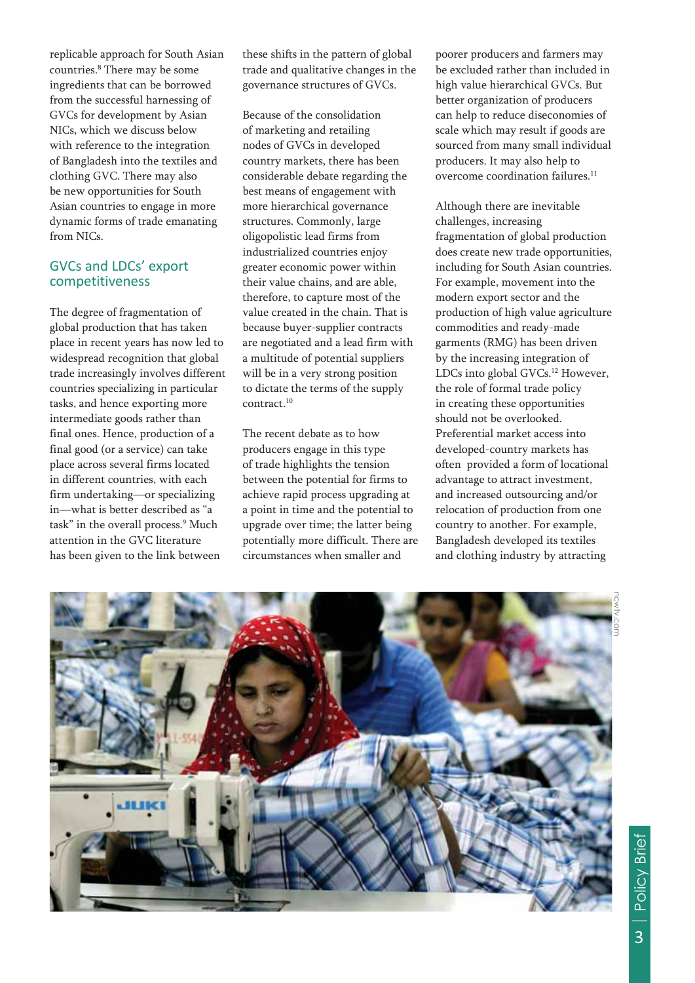replicable approach for South Asian countries.8 There may be some ingredients that can be borrowed from the successful harnessing of GVCs for development by Asian NICs, which we discuss below with reference to the integration of Bangladesh into the textiles and clothing GVC. There may also be new opportunities for South Asian countries to engage in more dynamic forms of trade emanating from NICs.

### GVCs and LDCs' export competitiveness

The degree of fragmentation of global production that has taken place in recent years has now led to widespread recognition that global trade increasingly involves different countries specializing in particular tasks, and hence exporting more intermediate goods rather than final ones. Hence, production of a final good (or a service) can take place across several firms located in different countries, with each firm undertaking—or specializing in—what is better described as "a task" in the overall process.9 Much attention in the GVC literature has been given to the link between

these shifts in the pattern of global trade and qualitative changes in the governance structures of GVCs.

Because of the consolidation of marketing and retailing nodes of GVCs in developed country markets, there has been considerable debate regarding the best means of engagement with more hierarchical governance structures. Commonly, large oligopolistic lead firms from industrialized countries enjoy greater economic power within their value chains, and are able, therefore, to capture most of the value created in the chain. That is because buyer-supplier contracts are negotiated and a lead firm with a multitude of potential suppliers will be in a very strong position to dictate the terms of the supply contract.10

The recent debate as to how producers engage in this type of trade highlights the tension between the potential for firms to achieve rapid process upgrading at a point in time and the potential to upgrade over time; the latter being potentially more difficult. There are circumstances when smaller and

poorer producers and farmers may be excluded rather than included in high value hierarchical GVCs. But better organization of producers can help to reduce diseconomies of scale which may result if goods are sourced from many small individual producers. It may also help to overcome coordination failures.11

Although there are inevitable challenges, increasing fragmentation of global production does create new trade opportunities, including for South Asian countries. For example, movement into the modern export sector and the production of high value agriculture commodities and ready-made garments (RMG) has been driven by the increasing integration of LDCs into global GVCs.<sup>12</sup> However, the role of formal trade policy in creating these opportunities should not be overlooked. Preferential market access into developed-country markets has often provided a form of locational advantage to attract investment, and increased outsourcing and/or relocation of production from one country to another. For example, Bangladesh developed its textiles and clothing industry by attracting

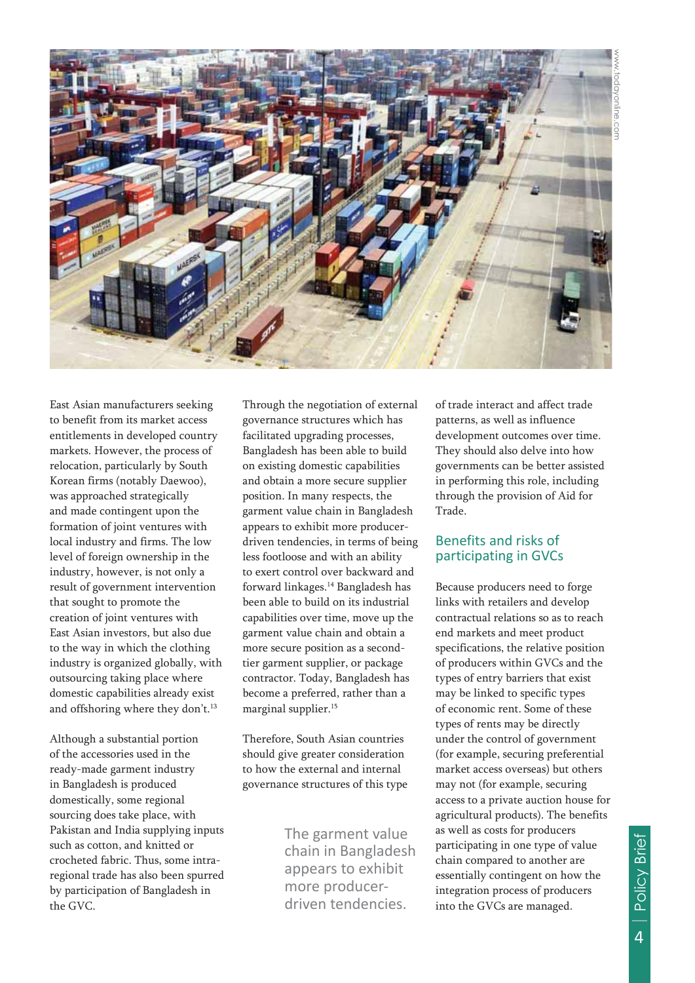

East Asian manufacturers seeking to benefit from its market access entitlements in developed country markets. However, the process of relocation, particularly by South Korean firms (notably Daewoo), was approached strategically and made contingent upon the formation of joint ventures with local industry and firms. The low level of foreign ownership in the industry, however, is not only a result of government intervention that sought to promote the creation of joint ventures with East Asian investors, but also due to the way in which the clothing industry is organized globally, with outsourcing taking place where domestic capabilities already exist and offshoring where they don't.<sup>13</sup>

Although a substantial portion of the accessories used in the ready-made garment industry in Bangladesh is produced domestically, some regional sourcing does take place, with Pakistan and India supplying inputs such as cotton, and knitted or crocheted fabric. Thus, some intraregional trade has also been spurred by participation of Bangladesh in the GVC.

Through the negotiation of external governance structures which has facilitated upgrading processes, Bangladesh has been able to build on existing domestic capabilities and obtain a more secure supplier position. In many respects, the garment value chain in Bangladesh appears to exhibit more producerdriven tendencies, in terms of being less footloose and with an ability to exert control over backward and forward linkages.14 Bangladesh has been able to build on its industrial capabilities over time, move up the garment value chain and obtain a more secure position as a secondtier garment supplier, or package contractor. Today, Bangladesh has become a preferred, rather than a marginal supplier.15

Therefore, South Asian countries should give greater consideration to how the external and internal governance structures of this type

> chain in Bangladesh appears to exhibit more producerdriven tendencies.

of trade interact and affect trade patterns, as well as influence development outcomes over time. They should also delve into how governments can be better assisted in performing this role, including through the provision of Aid for Trade.

#### Benefits and risks of participating in GVCs

Because producers need to forge links with retailers and develop contractual relations so as to reach end markets and meet product specifications, the relative position of producers within GVCs and the types of entry barriers that exist may be linked to specific types of economic rent. Some of these types of rents may be directly under the control of government (for example, securing preferential market access overseas) but others may not (for example, securing access to a private auction house for agricultural products). The benefits as well as costs for producers participating in one type of value chain compared to another are essentially contingent on how the integration process of producers into the GVCs are managed. The garment value as well as costs for producers<br>
chain in Bangladesh participating in one type of value<br>
appears to exhibit<br>
more producer-<br>
driven tendencies. into the GVCs are managed.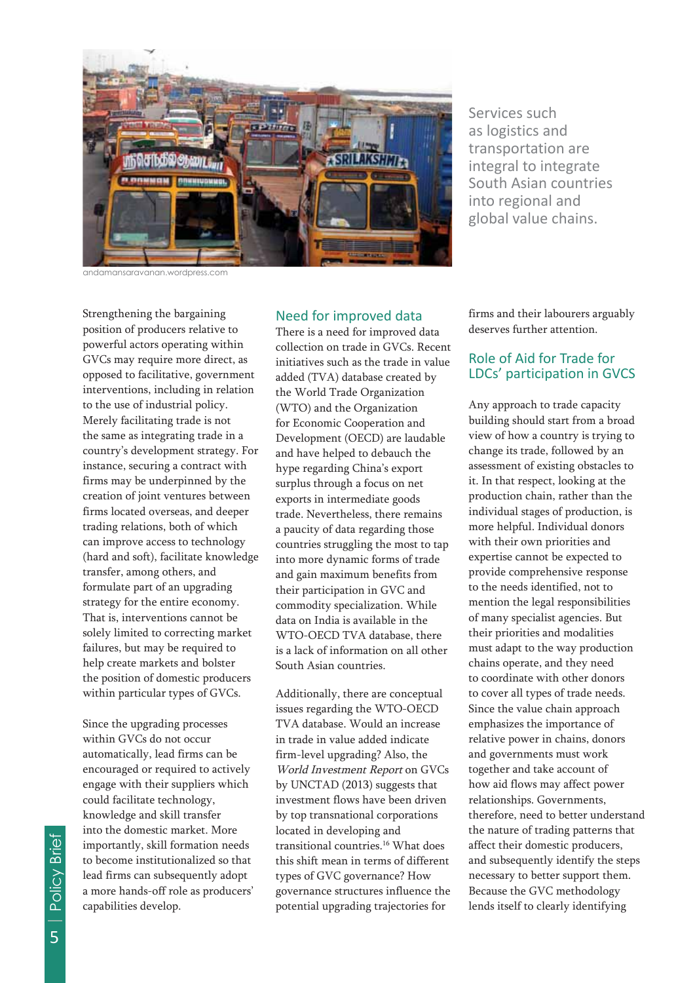

as logistics and transportation are integral to integrate South Asian countries into regional and global value chains.

andamansaravanan.wordpress.com

Strengthening the bargaining position of producers relative to powerful actors operating within GVCs may require more direct, as opposed to facilitative, government interventions, including in relation to the use of industrial policy. Merely facilitating trade is not the same as integrating trade in a country's development strategy. For instance, securing a contract with firms may be underpinned by the creation of joint ventures between firms located overseas, and deeper trading relations, both of which can improve access to technology (hard and soft), facilitate knowledge transfer, among others, and formulate part of an upgrading strategy for the entire economy. That is, interventions cannot be solely limited to correcting market failures, but may be required to help create markets and bolster the position of domestic producers within particular types of GVCs. Services such as a series of the material strengthening the material strengthening the barrier of the material strengthening the summation of the material strengthening the summation of the material strengthening the summ

Since the upgrading processes within GVCs do not occur automatically, lead firms can be encouraged or required to actively engage with their suppliers which could facilitate technology, knowledge and skill transfer into the domestic market. More importantly, skill formation needs to become institutionalized so that lead firms can subsequently adopt a more hands-off role as producers' capabilities develop.

#### Need for improved data

There is a need for improved data collection on trade in GVCs. Recent initiatives such as the trade in value added (TVA) database created by the World Trade Organization (WTO) and the Organization for Economic Cooperation and Development (OECD) are laudable and have helped to debauch the hype regarding China's export surplus through a focus on net exports in intermediate goods trade. Nevertheless, there remains a paucity of data regarding those countries struggling the most to tap into more dynamic forms of trade and gain maximum benefits from their participation in GVC and commodity specialization. While data on India is available in the WTO-OECD TVA database, there is a lack of information on all other South Asian countries.

Additionally, there are conceptual issues regarding the WTO-OECD TVA database. Would an increase in trade in value added indicate firm-level upgrading? Also, the World Investment Report on GVCs by UNCTAD (2013) suggests that investment flows have been driven by top transnational corporations located in developing and transitional countries.16 What does this shift mean in terms of different types of GVC governance? How governance structures influence the potential upgrading trajectories for

firms and their labourers arguably deserves further attention.

#### Role of Aid for Trade for LDCs' participation in GVCS

Any approach to trade capacity building should start from a broad view of how a country is trying to change its trade, followed by an assessment of existing obstacles to it. In that respect, looking at the production chain, rather than the individual stages of production, is more helpful. Individual donors with their own priorities and expertise cannot be expected to provide comprehensive response to the needs identified, not to mention the legal responsibilities of many specialist agencies. But their priorities and modalities must adapt to the way production chains operate, and they need to coordinate with other donors to cover all types of trade needs. Since the value chain approach emphasizes the importance of relative power in chains, donors and governments must work together and take account of how aid flows may affect power relationships. Governments, therefore, need to better understand the nature of trading patterns that affect their domestic producers, and subsequently identify the steps necessary to better support them. Because the GVC methodology lends itself to clearly identifying